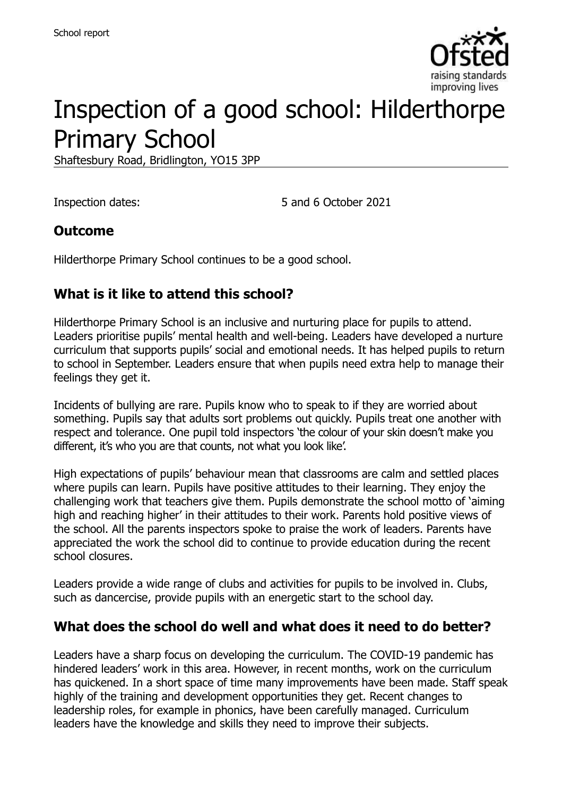

# Inspection of a good school: Hilderthorpe Primary School

Shaftesbury Road, Bridlington, YO15 3PP

Inspection dates: 5 and 6 October 2021

#### **Outcome**

Hilderthorpe Primary School continues to be a good school.

## **What is it like to attend this school?**

Hilderthorpe Primary School is an inclusive and nurturing place for pupils to attend. Leaders prioritise pupils' mental health and well-being. Leaders have developed a nurture curriculum that supports pupils' social and emotional needs. It has helped pupils to return to school in September. Leaders ensure that when pupils need extra help to manage their feelings they get it.

Incidents of bullying are rare. Pupils know who to speak to if they are worried about something. Pupils say that adults sort problems out quickly. Pupils treat one another with respect and tolerance. One pupil told inspectors 'the colour of your skin doesn't make you different, it's who you are that counts, not what you look like'.

High expectations of pupils' behaviour mean that classrooms are calm and settled places where pupils can learn. Pupils have positive attitudes to their learning. They enjoy the challenging work that teachers give them. Pupils demonstrate the school motto of 'aiming high and reaching higher' in their attitudes to their work. Parents hold positive views of the school. All the parents inspectors spoke to praise the work of leaders. Parents have appreciated the work the school did to continue to provide education during the recent school closures.

Leaders provide a wide range of clubs and activities for pupils to be involved in. Clubs, such as dancercise, provide pupils with an energetic start to the school day.

#### **What does the school do well and what does it need to do better?**

Leaders have a sharp focus on developing the curriculum. The COVID-19 pandemic has hindered leaders' work in this area. However, in recent months, work on the curriculum has quickened. In a short space of time many improvements have been made. Staff speak highly of the training and development opportunities they get. Recent changes to leadership roles, for example in phonics, have been carefully managed. Curriculum leaders have the knowledge and skills they need to improve their subjects.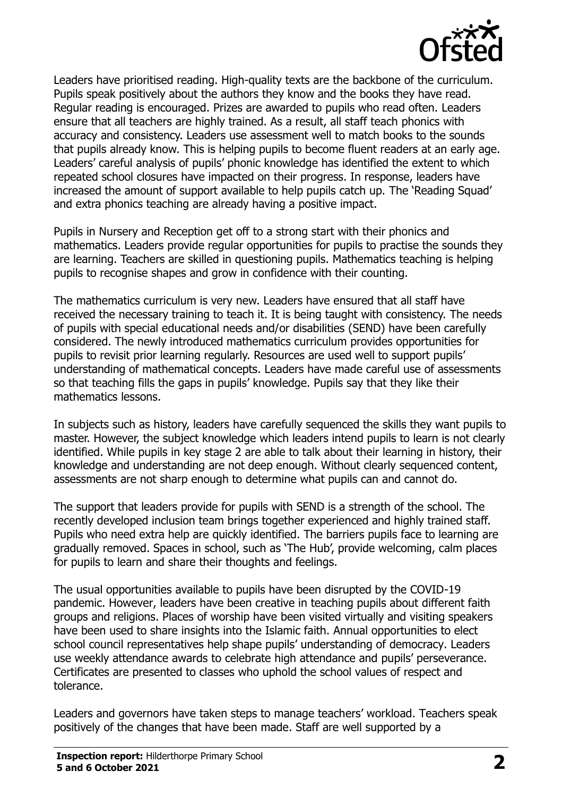

Leaders have prioritised reading. High-quality texts are the backbone of the curriculum. Pupils speak positively about the authors they know and the books they have read. Regular reading is encouraged. Prizes are awarded to pupils who read often. Leaders ensure that all teachers are highly trained. As a result, all staff teach phonics with accuracy and consistency. Leaders use assessment well to match books to the sounds that pupils already know. This is helping pupils to become fluent readers at an early age. Leaders' careful analysis of pupils' phonic knowledge has identified the extent to which repeated school closures have impacted on their progress. In response, leaders have increased the amount of support available to help pupils catch up. The 'Reading Squad' and extra phonics teaching are already having a positive impact.

Pupils in Nursery and Reception get off to a strong start with their phonics and mathematics. Leaders provide regular opportunities for pupils to practise the sounds they are learning. Teachers are skilled in questioning pupils. Mathematics teaching is helping pupils to recognise shapes and grow in confidence with their counting.

The mathematics curriculum is very new. Leaders have ensured that all staff have received the necessary training to teach it. It is being taught with consistency. The needs of pupils with special educational needs and/or disabilities (SEND) have been carefully considered. The newly introduced mathematics curriculum provides opportunities for pupils to revisit prior learning regularly. Resources are used well to support pupils' understanding of mathematical concepts. Leaders have made careful use of assessments so that teaching fills the gaps in pupils' knowledge. Pupils say that they like their mathematics lessons.

In subjects such as history, leaders have carefully sequenced the skills they want pupils to master. However, the subject knowledge which leaders intend pupils to learn is not clearly identified. While pupils in key stage 2 are able to talk about their learning in history, their knowledge and understanding are not deep enough. Without clearly sequenced content, assessments are not sharp enough to determine what pupils can and cannot do.

The support that leaders provide for pupils with SEND is a strength of the school. The recently developed inclusion team brings together experienced and highly trained staff. Pupils who need extra help are quickly identified. The barriers pupils face to learning are gradually removed. Spaces in school, such as 'The Hub', provide welcoming, calm places for pupils to learn and share their thoughts and feelings.

The usual opportunities available to pupils have been disrupted by the COVID-19 pandemic. However, leaders have been creative in teaching pupils about different faith groups and religions. Places of worship have been visited virtually and visiting speakers have been used to share insights into the Islamic faith. Annual opportunities to elect school council representatives help shape pupils' understanding of democracy. Leaders use weekly attendance awards to celebrate high attendance and pupils' perseverance. Certificates are presented to classes who uphold the school values of respect and tolerance.

Leaders and governors have taken steps to manage teachers' workload. Teachers speak positively of the changes that have been made. Staff are well supported by a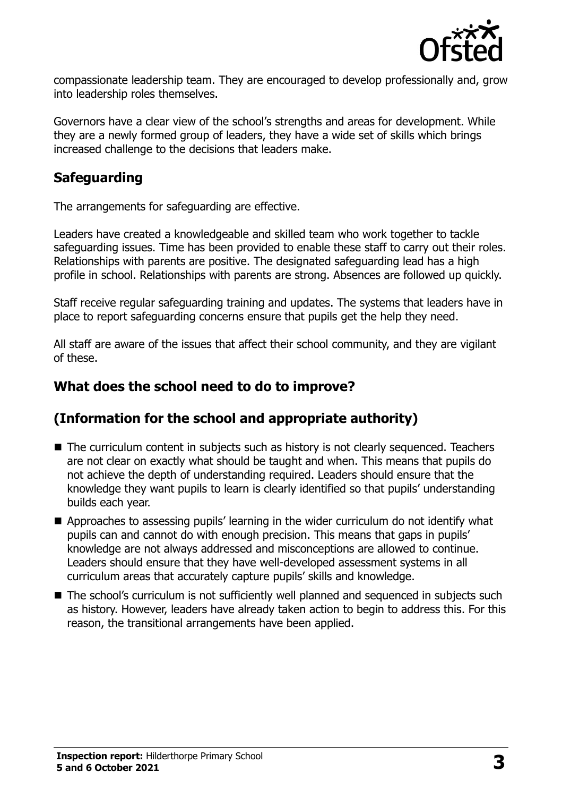

compassionate leadership team. They are encouraged to develop professionally and, grow into leadership roles themselves.

Governors have a clear view of the school's strengths and areas for development. While they are a newly formed group of leaders, they have a wide set of skills which brings increased challenge to the decisions that leaders make.

### **Safeguarding**

The arrangements for safeguarding are effective.

Leaders have created a knowledgeable and skilled team who work together to tackle safeguarding issues. Time has been provided to enable these staff to carry out their roles. Relationships with parents are positive. The designated safeguarding lead has a high profile in school. Relationships with parents are strong. Absences are followed up quickly.

Staff receive regular safeguarding training and updates. The systems that leaders have in place to report safeguarding concerns ensure that pupils get the help they need.

All staff are aware of the issues that affect their school community, and they are vigilant of these.

#### **What does the school need to do to improve?**

# **(Information for the school and appropriate authority)**

- The curriculum content in subjects such as history is not clearly sequenced. Teachers are not clear on exactly what should be taught and when. This means that pupils do not achieve the depth of understanding required. Leaders should ensure that the knowledge they want pupils to learn is clearly identified so that pupils' understanding builds each year.
- Approaches to assessing pupils' learning in the wider curriculum do not identify what pupils can and cannot do with enough precision. This means that gaps in pupils' knowledge are not always addressed and misconceptions are allowed to continue. Leaders should ensure that they have well-developed assessment systems in all curriculum areas that accurately capture pupils' skills and knowledge.
- The school's curriculum is not sufficiently well planned and sequenced in subjects such as history. However, leaders have already taken action to begin to address this. For this reason, the transitional arrangements have been applied.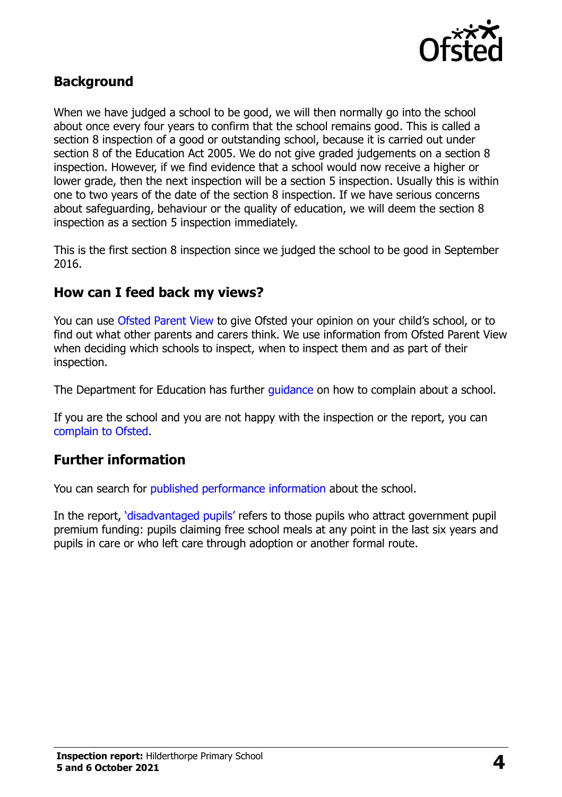

### **Background**

When we have judged a school to be good, we will then normally go into the school about once every four years to confirm that the school remains good. This is called a section 8 inspection of a good or outstanding school, because it is carried out under section 8 of the Education Act 2005. We do not give graded judgements on a section 8 inspection. However, if we find evidence that a school would now receive a higher or lower grade, then the next inspection will be a section 5 inspection. Usually this is within one to two years of the date of the section 8 inspection. If we have serious concerns about safeguarding, behaviour or the quality of education, we will deem the section 8 inspection as a section 5 inspection immediately.

This is the first section 8 inspection since we judged the school to be good in September 2016.

#### **How can I feed back my views?**

You can use [Ofsted Parent View](https://parentview.ofsted.gov.uk/) to give Ofsted your opinion on your child's school, or to find out what other parents and carers think. We use information from Ofsted Parent View when deciding which schools to inspect, when to inspect them and as part of their inspection.

The Department for Education has further quidance on how to complain about a school.

If you are the school and you are not happy with the inspection or the report, you can [complain to Ofsted.](https://www.gov.uk/complain-ofsted-report)

#### **Further information**

You can search for [published performance](http://www.compare-school-performance.service.gov.uk/) information about the school.

In the report, '[disadvantaged pupils](http://www.gov.uk/guidance/pupil-premium-information-for-schools-and-alternative-provision-settings)' refers to those pupils who attract government pupil premium funding: pupils claiming free school meals at any point in the last six years and pupils in care or who left care through adoption or another formal route.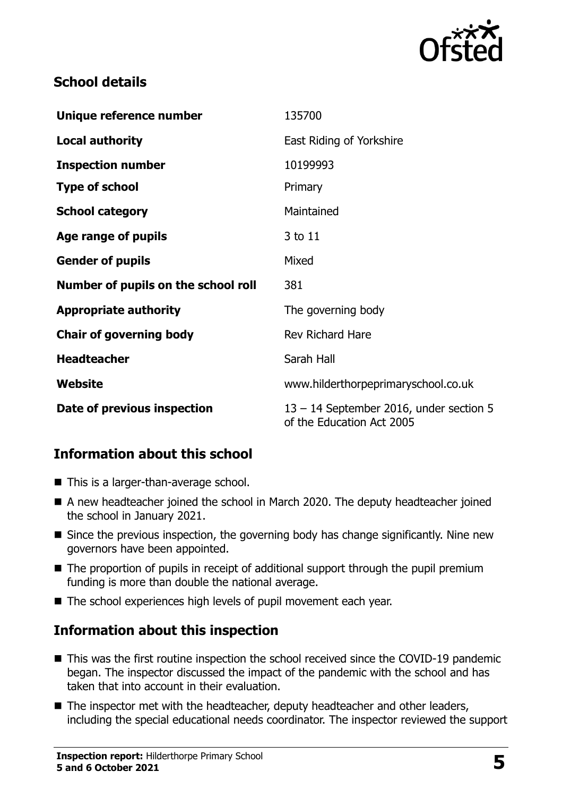

# **School details**

| Unique reference number             | 135700                                                                 |
|-------------------------------------|------------------------------------------------------------------------|
| <b>Local authority</b>              | East Riding of Yorkshire                                               |
| <b>Inspection number</b>            | 10199993                                                               |
| <b>Type of school</b>               | Primary                                                                |
| <b>School category</b>              | Maintained                                                             |
| Age range of pupils                 | 3 to 11                                                                |
| <b>Gender of pupils</b>             | Mixed                                                                  |
| Number of pupils on the school roll | 381                                                                    |
| <b>Appropriate authority</b>        | The governing body                                                     |
| <b>Chair of governing body</b>      | <b>Rev Richard Hare</b>                                                |
| <b>Headteacher</b>                  | Sarah Hall                                                             |
| Website                             | www.hilderthorpeprimaryschool.co.uk                                    |
| Date of previous inspection         | $13 - 14$ September 2016, under section 5<br>of the Education Act 2005 |

# **Information about this school**

- This is a larger-than-average school.
- A new headteacher joined the school in March 2020. The deputy headteacher joined the school in January 2021.
- Since the previous inspection, the governing body has change significantly. Nine new governors have been appointed.
- The proportion of pupils in receipt of additional support through the pupil premium funding is more than double the national average.
- The school experiences high levels of pupil movement each year.

# **Information about this inspection**

- This was the first routine inspection the school received since the COVID-19 pandemic began. The inspector discussed the impact of the pandemic with the school and has taken that into account in their evaluation.
- The inspector met with the headteacher, deputy headteacher and other leaders, including the special educational needs coordinator. The inspector reviewed the support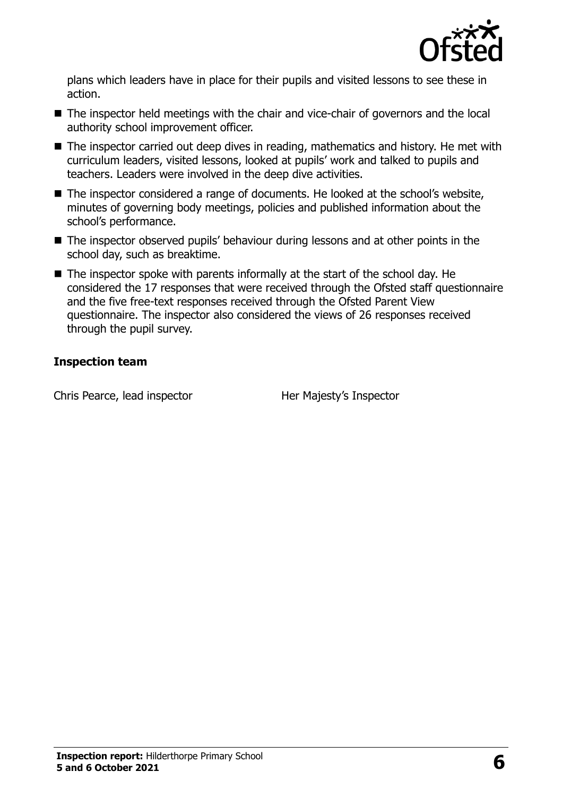

plans which leaders have in place for their pupils and visited lessons to see these in action.

- The inspector held meetings with the chair and vice-chair of governors and the local authority school improvement officer.
- The inspector carried out deep dives in reading, mathematics and history. He met with curriculum leaders, visited lessons, looked at pupils' work and talked to pupils and teachers. Leaders were involved in the deep dive activities.
- The inspector considered a range of documents. He looked at the school's website, minutes of governing body meetings, policies and published information about the school's performance.
- The inspector observed pupils' behaviour during lessons and at other points in the school day, such as breaktime.
- $\blacksquare$  The inspector spoke with parents informally at the start of the school day. He considered the 17 responses that were received through the Ofsted staff questionnaire and the five free-text responses received through the Ofsted Parent View questionnaire. The inspector also considered the views of 26 responses received through the pupil survey.

#### **Inspection team**

Chris Pearce, lead inspector **Her Majesty's Inspector**